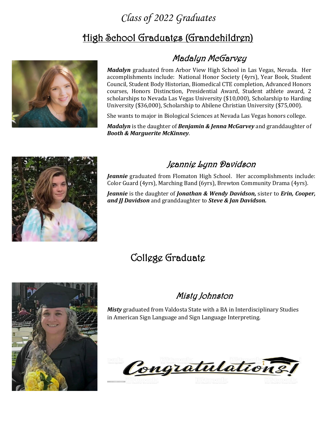### *Class of 2022 Graduates*

## High School Graduates (Grandchildren)



### Madalyn McGarvey

*Madalyn* graduated from Arbor View High School in Las Vegas, Nevada. Her accomplishments include: National Honor Society (4yrs), Year Book, Student Council, Student Body Historian, Biomedical CTE completion, Advanced Honors courses, Honors Distinction, Presidential Award, Student athlete award, 2 scholarships to Nevada Las Vegas University (\$10,000), Scholarship to Harding University (\$36,000), Scholarship to Abilene Christian University (\$75,000).

She wants to major in Biological Sciences at Nevada Las Vegas honors college.

*Madalyn* is the daughter of *Benjamin & Jenna McGarvey* and granddaughter of *Booth & Marguerite McKinney*.



#### Jeannie Lynn Davidson

*Jeannie* graduated from Flomaton High School. Her accomplishments include: Color Guard (4yrs), Marching Band (6yrs), Brewton Community Drama (4yrs).

*Jeannie* is the daughter of *Jonathan & Wendy Davidson,* sister to *Erin, Cooper, and JJ Davidson* and granddaughter to *Steve & Jan Davidson.*

## College Graduate



#### Misty Johnston

*Misty* graduated from Valdosta State with a BA in Interdisciplinary Studies in American Sign Language and Sign Language Interpreting.